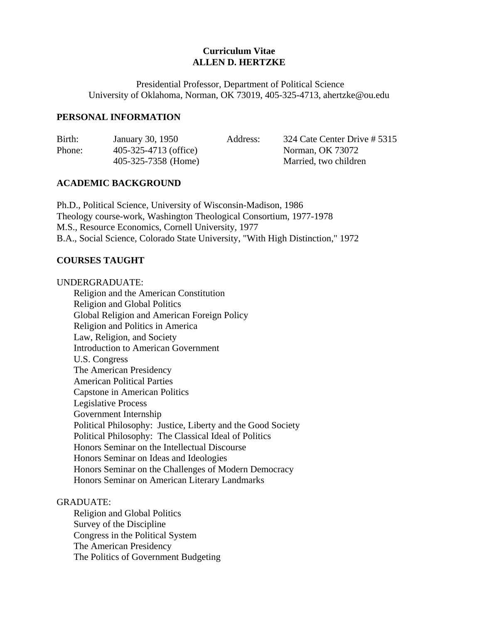# **Curriculum Vitae ALLEN D. HERTZKE**

 Presidential Professor, Department of Political Science University of Oklahoma, Norman, OK 73019, 405-325-4713, ahertzke@ou.edu

### **PERSONAL INFORMATION**

| Birth: | January 30, 1950      | Address: | 324 Cate Center Drive # 5315 |
|--------|-----------------------|----------|------------------------------|
| Phone: | 405-325-4713 (office) |          | Norman, OK 73072             |
|        | 405-325-7358 (Home)   |          | Married, two children        |

### **ACADEMIC BACKGROUND**

 Ph.D., Political Science, University of Wisconsin-Madison, 1986 Theology course-work, Washington Theological Consortium, 1977-1978 M.S., Resource Economics, Cornell University, 1977 B.A., Social Science, Colorado State University, "With High Distinction," 1972

### **COURSES TAUGHT**

#### UNDERGRADUATE:

 Religion and the American Constitution Religion and Global Politics Global Religion and American Foreign Policy Religion and Politics in America Law, Religion, and Society Introduction to American Government U.S. Congress The American Presidency American Political Parties Capstone in American Politics Legislative Process Government Internship Political Philosophy: Justice, Liberty and the Good Society Political Philosophy: The Classical Ideal of Politics Honors Seminar on the Intellectual Discourse Honors Seminar on Ideas and Ideologies Honors Seminar on the Challenges of Modern Democracy Honors Seminar on American Literary Landmarks

### GRADUATE:

 Religion and Global Politics Survey of the Discipline Congress in the Political System The American Presidency The Politics of Government Budgeting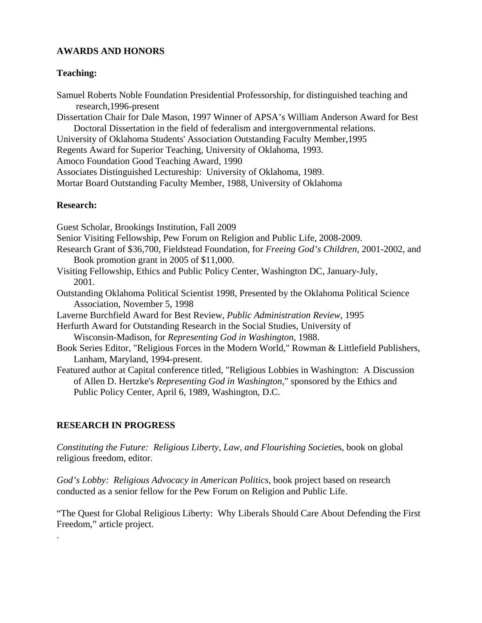## **AWARDS AND HONORS**

## **Teaching:**

Samuel Roberts Noble Foundation Presidential Professorship, for distinguished teaching and research,1996-present Dissertation Chair for Dale Mason, 1997 Winner of APSA's William Anderson Award for Best Doctoral Dissertation in the field of federalism and intergovernmental relations. University of Oklahoma Students' Association Outstanding Faculty Member,1995 Regents Award for Superior Teaching, University of Oklahoma, 1993. Amoco Foundation Good Teaching Award, 1990 Associates Distinguished Lectureship: University of Oklahoma, 1989. Mortar Board Outstanding Faculty Member, 1988, University of Oklahoma **Research:** Guest Scholar, Brookings Institution, Fall 2009 Senior Visiting Fellowship, Pew Forum on Religion and Public Life, 2008-2009. Research Grant of \$36,700, Fieldstead Foundation, for *Freeing God's Children*, 2001-2002, and Book promotion grant in 2005 of \$11,000. Visiting Fellowship, Ethics and Public Policy Center, Washington DC, January-July, 2001. Outstanding Oklahoma Political Scientist 1998, Presented by the Oklahoma Political Science Association, November 5, 1998 Laverne Burchfield Award for Best Review, *Public Administration Review*, 1995 Herfurth Award for Outstanding Research in the Social Studies, University of Wisconsin-Madison, for *Representing God in Washington,* 1988. Book Series Editor, "Religious Forces in the Modern World," Rowman & Littlefield Publishers, Lanham, Maryland, 1994-present. Featured author at Capital conference titled, "Religious Lobbies in Washington: A Discussion of Allen D. Hertzke's *Representing God in Washington,*" sponsored by the Ethics and Public Policy Center, April 6, 1989, Washington, D.C.

# **RESEARCH IN PROGRESS**

.

*Constituting the Future: Religious Liberty, Law, and Flourishing Societie*s, book on global religious freedom, editor.

*God's Lobby: Religious Advocacy in American Politics*, book project based on research conducted as a senior fellow for the Pew Forum on Religion and Public Life.

"The Quest for Global Religious Liberty: Why Liberals Should Care About Defending the First Freedom," article project.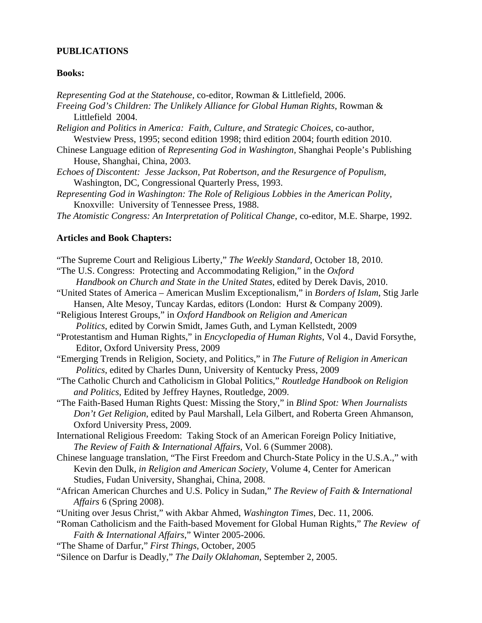#### **PUBLICATIONS**

#### **Books:**

*Representing God at the Statehouse,* co-editor, Rowman & Littlefield, 2006.  *Freeing God's Children: The Unlikely Alliance for Global Human Rights,* Rowman & Littlefield 2004.

- *Religion and Politics in America: Faith, Culture, and Strategic Choices*, co-author, Westview Press, 1995; second edition 1998; third edition 2004; fourth edition 2010.
- Chinese Language edition of *Representing God in Washington,* Shanghai People's Publishing House, Shanghai, China, 2003.
- *Echoes of Discontent: Jesse Jackson, Pat Robertson, and the Resurgence of Populism,*  Washington, DC, Congressional Quarterly Press, 1993.
- *Representing God in Washington: The Role of Religious Lobbies in the American Polity,* Knoxville: University of Tennessee Press, 1988.
- *The Atomistic Congress: An Interpretation of Political Change*, co-editor, M.E. Sharpe, 1992.

## **Articles and Book Chapters:**

- "The Supreme Court and Religious Liberty," *The Weekly Standard*, October 18, 2010.
- "The U.S. Congress: Protecting and Accommodating Religion," in the *Oxford Handbook on Church and State in the United States*, edited by Derek Davis, 2010.
- "United States of America American Muslim Exceptionalism," in *Borders of Islam*, Stig Jarle Hansen, Alte Mesoy, Tuncay Kardas, editors (London: Hurst & Company 2009).
- "Religious Interest Groups," in *Oxford Handbook on Religion and American Politics*, edited by Corwin Smidt, James Guth, and Lyman Kellstedt, 2009
- "Protestantism and Human Rights," in *Encyclopedia of Human Rights*, Vol 4., David Forsythe, Editor, Oxford University Press, 2009
- "Emerging Trends in Religion, Society, and Politics," in *The Future of Religion in American Politics*, edited by Charles Dunn, University of Kentucky Press, 2009
- "The Catholic Church and Catholicism in Global Politics," *Routledge Handbook on Religion and Politics*, Edited by Jeffrey Haynes, Routledge, 2009.
- "The Faith-Based Human Rights Quest: Missing the Story," in *Blind Spot: When Journalists Don't Get Religion*, edited by Paul Marshall, Lela Gilbert, and Roberta Green Ahmanson, Oxford University Press, 2009.
- International Religious Freedom: Taking Stock of an American Foreign Policy Initiative, *The Review of Faith & International Affairs,* Vol. 6 (Summer 2008).
- Chinese language translation, "The First Freedom and Church-State Policy in the U.S.A.," with Kevin den Dulk*, in Religion and American Society,* Volume 4, Center for American Studies, Fudan University, Shanghai, China, 2008.
- "African American Churches and U.S. Policy in Sudan," *The Review of Faith & International Affairs* 6 (Spring 2008).
- "Uniting over Jesus Christ," with Akbar Ahmed, *Washington Times*, Dec. 11, 2006.
- "Roman Catholicism and the Faith-based Movement for Global Human Rights," *The Review of Faith & International Affairs*," Winter 2005-2006.
- "The Shame of Darfur," *First Things*, October, 2005
- "Silence on Darfur is Deadly," *The Daily Oklahoman*, September 2, 2005.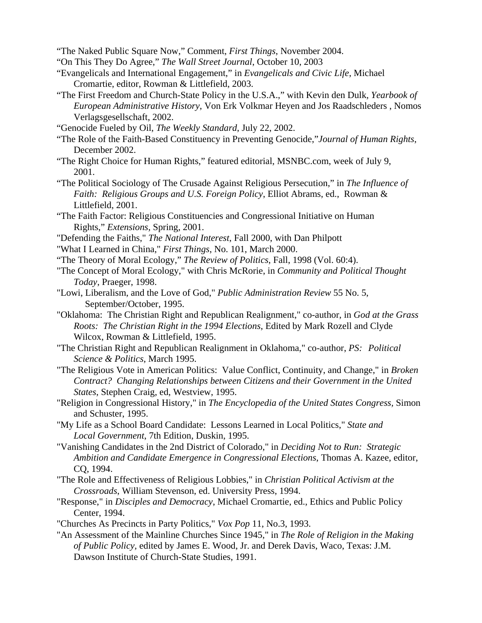- "The Naked Public Square Now," Comment, *First Things*, November 2004.
- "On This They Do Agree," *The Wall Street Journal*, October 10, 2003
- "Evangelicals and International Engagement," in *Evangelicals and Civic Life*, Michael Cromartie, editor, Rowman & Littlefield, 2003.
- "The First Freedom and Church-State Policy in the U.S.A.," with Kevin den Dulk*, Yearbook of European Administrative History*, Von Erk Volkmar Heyen and Jos Raadschleders , Nomos Verlagsgesellschaft, 2002.
- "Genocide Fueled by Oil, *The Weekly Standard*, July 22, 2002.
- "The Role of the Faith-Based Constituency in Preventing Genocide,"*Journal of Human Rights*, December 2002.
- "The Right Choice for Human Rights," featured editorial, MSNBC.com, week of July 9, 2001.
- "The Political Sociology of The Crusade Against Religious Persecution," in *The Influence of Faith: Religious Groups and U.S. Foreign Policy*, Elliot Abrams, ed., Rowman & Littlefield, 2001.
- "The Faith Factor: Religious Constituencies and Congressional Initiative on Human Rights," *Extensions,* Spring, 2001.
- "Defending the Faiths," *The National Interest*, Fall 2000, with Dan Philpott
- "What I Learned in China," *First Things*, No. 101, March 2000.
- "The Theory of Moral Ecology," *The Review of Politics*, Fall, 1998 (Vol. 60:4).
- "The Concept of Moral Ecology," with Chris McRorie, in *Community and Political Thought Today*, Praeger, 1998.
- "Lowi, Liberalism, and the Love of God," *Public Administration Review* 55 No. 5, September/October, 1995.
- "Oklahoma: The Christian Right and Republican Realignment," co-author, in *God at the Grass Roots: The Christian Right in the 1994 Elections*, Edited by Mark Rozell and Clyde Wilcox, Rowman & Littlefield, 1995.
- "The Christian Right and Republican Realignment in Oklahoma," co-author, *PS: Political Science & Politics*, March 1995.
- "The Religious Vote in American Politics: Value Conflict, Continuity, and Change," in *Broken Contract? Changing Relationships between Citizens and their Government in the United States*, Stephen Craig, ed, Westview, 1995.
- "Religion in Congressional History," in *The Encyclopedia of the United States Congress,* Simon and Schuster, 1995.
- "My Life as a School Board Candidate: Lessons Learned in Local Politics," *State and Local Government*, 7th Edition, Duskin, 1995.
- "Vanishing Candidates in the 2nd District of Colorado," in *Deciding Not to Run: Strategic Ambition and Candidate Emergence in Congressional Elections*, Thomas A. Kazee, editor, CQ, 1994.
- "The Role and Effectiveness of Religious Lobbies," in *Christian Political Activism at the Crossroads*, William Stevenson, ed. University Press, 1994.
- "Response," in *Disciples and Democracy*, Michael Cromartie, ed., Ethics and Public Policy Center, 1994.
- "Churches As Precincts in Party Politics," *Vox Pop* 11, No.3, 1993.
- "An Assessment of the Mainline Churches Since 1945," in *The Role of Religion in the Making of Public Policy,* edited by James E. Wood, Jr. and Derek Davis, Waco, Texas: J.M. Dawson Institute of Church-State Studies, 1991.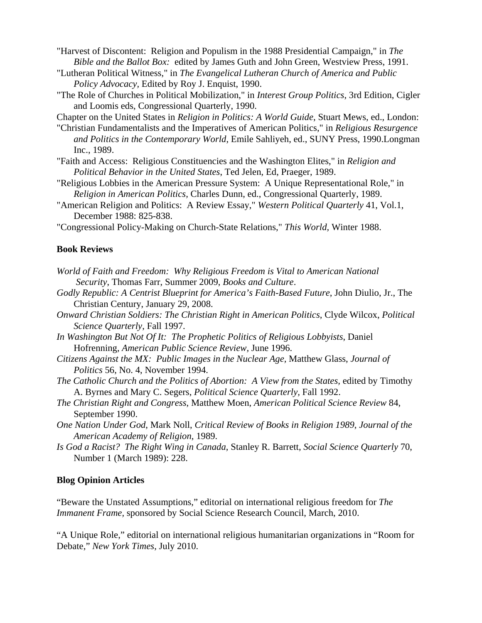"Harvest of Discontent: Religion and Populism in the 1988 Presidential Campaign," in *The Bible and the Ballot Box:* edited by James Guth and John Green, Westview Press, 1991.

- "Lutheran Political Witness," in *The Evangelical Lutheran Church of America and Public Policy Advocacy,* Edited by Roy J. Enquist, 1990.
- "The Role of Churches in Political Mobilization," in *Interest Group Politics*, 3rd Edition, Cigler and Loomis eds, Congressional Quarterly, 1990.

Chapter on the United States in *Religion in Politics: A World Guide*, Stuart Mews, ed., London:

- "Christian Fundamentalists and the Imperatives of American Politics," in *Religious Resurgence and Politics in the Contemporary World*, Emile Sahliyeh, ed., SUNY Press, 1990.Longman Inc., 1989.
- "Faith and Access: Religious Constituencies and the Washington Elites," in *Religion and Political Behavior in the United States*, Ted Jelen, Ed, Praeger, 1989.
- "Religious Lobbies in the American Pressure System: A Unique Representational Role," in *Religion in American Politics,* Charles Dunn, ed., Congressional Quarterly, 1989.
- "American Religion and Politics: A Review Essay," *Western Political Quarterly* 41, Vol.1, December 1988: 825-838.
- "Congressional Policy-Making on Church-State Relations," *This World,* Winter 1988.

#### **Book Reviews**

- *World of Faith and Freedom: Why Religious Freedom is Vital to American National Security*, Thomas Farr, Summer 2009, *Books and Culture*.
- *Godly Republic: A Centrist Blueprint for America's Faith-Based Future*, John Diulio, Jr., The Christian Century, January 29, 2008.
- *Onward Christian Soldiers: The Christian Right in American Politics*, Clyde Wilcox, *Political Science Quarterly*, Fall 1997.
- *In Washington But Not Of It: The Prophetic Politics of Religious Lobbyists*, Daniel Hofrenning, *American Public Science Review,* June 1996.
- *Citizens Against the MX: Public Images in the Nuclear Age,* Matthew Glass, *Journal of Politics* 56, No. 4, November 1994.
- *The Catholic Church and the Politics of Abortion: A View from the States,* edited by Timothy A. Byrnes and Mary C. Segers, *Political Science Quarterly,* Fall 1992.
- *The Christian Right and Congress*, Matthew Moen, *American Political Science Review* 84, September 1990.
- *One Nation Under God*, Mark Noll, *Critical Review of Books in Religion 1989*, *Journal of the American Academy of Religion*, 1989.
- *Is God a Racist? The Right Wing in Canada*, Stanley R. Barrett, *Social Science Quarterly* 70, Number 1 (March 1989): 228.

#### **Blog Opinion Articles**

"Beware the Unstated Assumptions," editorial on international religious freedom for *The Immanent Frame,* sponsored by Social Science Research Council, March, 2010.

"A Unique Role," editorial on international religious humanitarian organizations in "Room for Debate," *New York Times*, July 2010.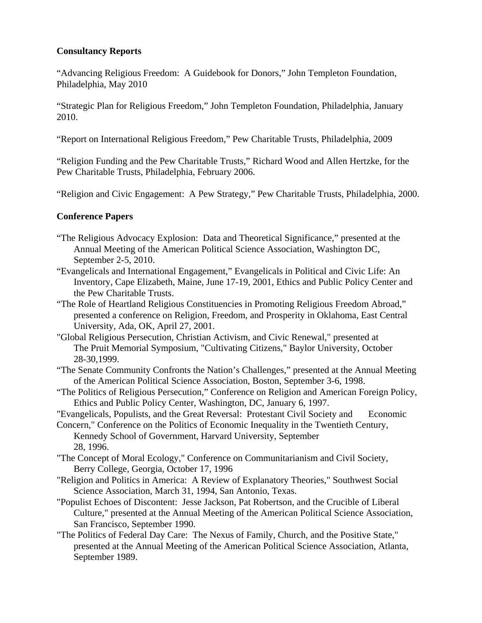# **Consultancy Reports**

"Advancing Religious Freedom: A Guidebook for Donors," John Templeton Foundation, Philadelphia, May 2010

"Strategic Plan for Religious Freedom," John Templeton Foundation, Philadelphia, January 2010.

"Report on International Religious Freedom," Pew Charitable Trusts, Philadelphia, 2009

"Religion Funding and the Pew Charitable Trusts," Richard Wood and Allen Hertzke, for the Pew Charitable Trusts, Philadelphia, February 2006.

"Religion and Civic Engagement: A Pew Strategy," Pew Charitable Trusts, Philadelphia, 2000.

## **Conference Papers**

- "The Religious Advocacy Explosion: Data and Theoretical Significance," presented at the Annual Meeting of the American Political Science Association, Washington DC, September 2-5, 2010.
- "Evangelicals and International Engagement," Evangelicals in Political and Civic Life: An Inventory, Cape Elizabeth, Maine, June 17-19, 2001, Ethics and Public Policy Center and the Pew Charitable Trusts.
- "The Role of Heartland Religious Constituencies in Promoting Religious Freedom Abroad," presented a conference on Religion, Freedom, and Prosperity in Oklahoma, East Central University, Ada, OK, April 27, 2001.
- "Global Religious Persecution, Christian Activism, and Civic Renewal," presented at The Pruit Memorial Symposium, "Cultivating Citizens," Baylor University, October 28-30,1999.
- "The Senate Community Confronts the Nation's Challenges," presented at the Annual Meeting of the American Political Science Association, Boston, September 3-6, 1998.
- "The Politics of Religious Persecution," Conference on Religion and American Foreign Policy, Ethics and Public Policy Center, Washington, DC, January 6, 1997.
- "Evangelicals, Populists, and the Great Reversal: Protestant Civil Society and Economic
- Concern," Conference on the Politics of Economic Inequality in the Twentieth Century, Kennedy School of Government, Harvard University, September 28, 1996.
- "The Concept of Moral Ecology," Conference on Communitarianism and Civil Society, Berry College, Georgia, October 17, 1996
- "Religion and Politics in America: A Review of Explanatory Theories," Southwest Social Science Association, March 31, 1994, San Antonio, Texas.
- "Populist Echoes of Discontent: Jesse Jackson, Pat Robertson, and the Crucible of Liberal Culture," presented at the Annual Meeting of the American Political Science Association, San Francisco, September 1990.
- "The Politics of Federal Day Care: The Nexus of Family, Church, and the Positive State," presented at the Annual Meeting of the American Political Science Association, Atlanta, September 1989.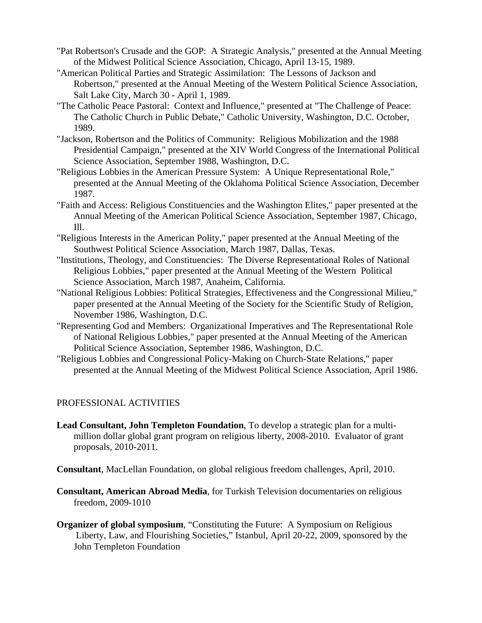- "Pat Robertson's Crusade and the GOP: A Strategic Analysis," presented at the Annual Meeting of the Midwest Political Science Association, Chicago, April 13-15, 1989.
- "American Political Parties and Strategic Assimilation: The Lessons of Jackson and Robertson," presented at the Annual Meeting of the Western Political Science Association, Salt Lake City, March 30 - April 1, 1989.
- "The Catholic Peace Pastoral: Context and Influence," presented at "The Challenge of Peace: The Catholic Church in Public Debate," Catholic University, Washington, D.C. October, 1989.
- "Jackson, Robertson and the Politics of Community: Religious Mobilization and the 1988 Presidential Campaign," presented at the XIV World Congress of the International Political Science Association, September 1988, Washington, D.C.
- "Religious Lobbies in the American Pressure System: A Unique Representational Role," presented at the Annual Meeting of the Oklahoma Political Science Association, December 1987.
- "Faith and Access: Religious Constituencies and the Washington Elites," paper presented at the Annual Meeting of the American Political Science Association, September 1987, Chicago, Ill.
- "Religious Interests in the American Polity," paper presented at the Annual Meeting of the Southwest Political Science Association, March 1987, Dallas, Texas.
- "Institutions, Theology, and Constituencies: The Diverse Representational Roles of National Religious Lobbies," paper presented at the Annual Meeting of the Western Political Science Association, March 1987, Anaheim, California.
- "National Religious Lobbies: Political Strategies, Effectiveness and the Congressional Milieu," paper presented at the Annual Meeting of the Society for the Scientific Study of Religion, November 1986, Washington, D.C.
- "Representing God and Members: Organizational Imperatives and The Representational Role of National Religious Lobbies," paper presented at the Annual Meeting of the American Political Science Association, September 1986, Washington, D.C.
- "Religious Lobbies and Congressional Policy-Making on Church-State Relations," paper presented at the Annual Meeting of the Midwest Political Science Association, April 1986.

# PROFESSIONAL ACTIVITIES

- **Lead Consultant, John Templeton Foundation**, To develop a strategic plan for a multimillion dollar global grant program on religious liberty, 2008-2010. Evaluator of grant proposals, 2010-2011.
- **Consultant**, MacLellan Foundation, on global religious freedom challenges, April, 2010.
- **Consultant, American Abroad Media**, for Turkish Television documentaries on religious freedom, 2009-1010
- **Organizer of global symposium, "Constituting the Future: A Symposium on Religious**  Liberty, Law, and Flourishing Societies," Istanbul, April 20-22, 2009, sponsored by the John Templeton Foundation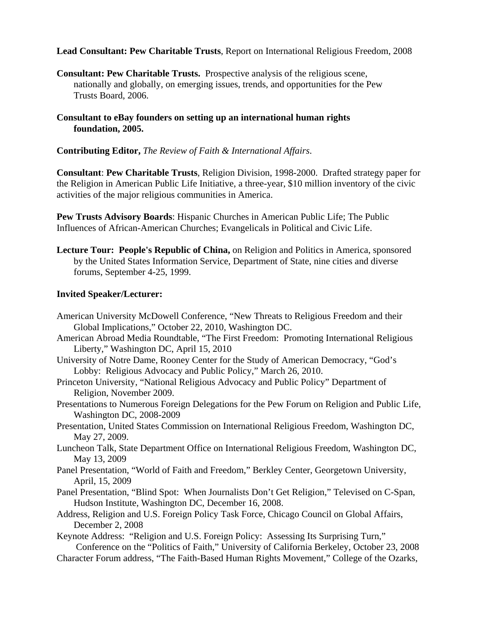## **Lead Consultant: Pew Charitable Trusts**, Report on International Religious Freedom, 2008

**Consultant: Pew Charitable Trusts.** Prospective analysis of the religious scene, nationally and globally, on emerging issues, trends, and opportunities for the Pew Trusts Board, 2006.

## **Consultant to eBay founders on setting up an international human rights foundation, 2005.**

## **Contributing Editor,** *The Review of Faith & International Affairs*.

**Consultant**: **Pew Charitable Trusts**, Religion Division, 1998-2000. Drafted strategy paper for the Religion in American Public Life Initiative, a three-year, \$10 million inventory of the civic activities of the major religious communities in America.

**Pew Trusts Advisory Boards**: Hispanic Churches in American Public Life; The Public Influences of African-American Churches; Evangelicals in Political and Civic Life.

 **Lecture Tour: People's Republic of China,** on Religion and Politics in America, sponsored by the United States Information Service, Department of State, nine cities and diverse forums, September 4-25, 1999.

## **Invited Speaker/Lecturer:**

- American University McDowell Conference, "New Threats to Religious Freedom and their Global Implications," October 22, 2010, Washington DC.
- American Abroad Media Roundtable, "The First Freedom: Promoting International Religious Liberty," Washington DC, April 15, 2010
- University of Notre Dame, Rooney Center for the Study of American Democracy, "God's Lobby: Religious Advocacy and Public Policy," March 26, 2010.
- Princeton University, "National Religious Advocacy and Public Policy" Department of Religion, November 2009.
- Presentations to Numerous Foreign Delegations for the Pew Forum on Religion and Public Life, Washington DC, 2008-2009
- Presentation, United States Commission on International Religious Freedom, Washington DC, May 27, 2009.
- Luncheon Talk, State Department Office on International Religious Freedom, Washington DC, May 13, 2009
- Panel Presentation, "World of Faith and Freedom," Berkley Center, Georgetown University, April, 15, 2009
- Panel Presentation, "Blind Spot: When Journalists Don't Get Religion," Televised on C-Span, Hudson Institute, Washington DC, December 16, 2008.
- Address, Religion and U.S. Foreign Policy Task Force, Chicago Council on Global Affairs, December 2, 2008

Keynote Address: "Religion and U.S. Foreign Policy: Assessing Its Surprising Turn," Conference on the "Politics of Faith," University of California Berkeley, October 23, 2008 Character Forum address, "The Faith-Based Human Rights Movement," College of the Ozarks,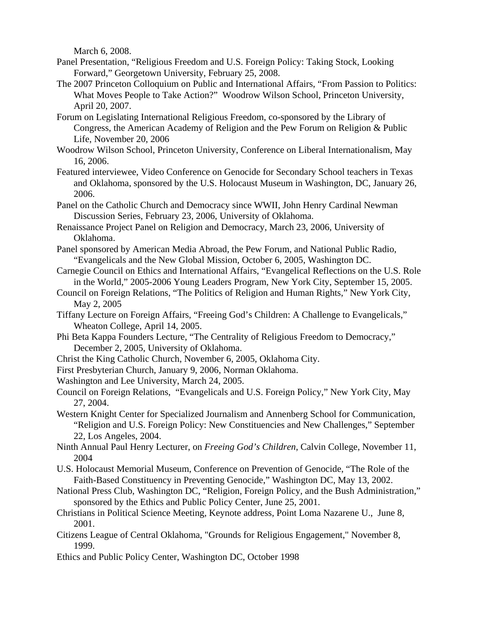March 6, 2008.

- Panel Presentation, "Religious Freedom and U.S. Foreign Policy: Taking Stock, Looking Forward," Georgetown University, February 25, 2008.
- The 2007 Princeton Colloquium on Public and International Affairs, "From Passion to Politics: What Moves People to Take Action?" Woodrow Wilson School, Princeton University, April 20, 2007.
- Forum on Legislating International Religious Freedom, co-sponsored by the Library of Congress, the American Academy of Religion and the Pew Forum on Religion & Public Life, November 20, 2006
- Woodrow Wilson School, Princeton University, Conference on Liberal Internationalism, May 16, 2006.
- Featured interviewee, Video Conference on Genocide for Secondary School teachers in Texas and Oklahoma, sponsored by the U.S. Holocaust Museum in Washington, DC, January 26, 2006.
- Panel on the Catholic Church and Democracy since WWII, John Henry Cardinal Newman Discussion Series, February 23, 2006, University of Oklahoma.
- Renaissance Project Panel on Religion and Democracy, March 23, 2006, University of Oklahoma.
- Panel sponsored by American Media Abroad, the Pew Forum, and National Public Radio, "Evangelicals and the New Global Mission, October 6, 2005, Washington DC.
- Carnegie Council on Ethics and International Affairs, "Evangelical Reflections on the U.S. Role in the World," 2005-2006 Young Leaders Program, New York City, September 15, 2005.
- Council on Foreign Relations, "The Politics of Religion and Human Rights," New York City, May 2, 2005
- Tiffany Lecture on Foreign Affairs, "Freeing God's Children: A Challenge to Evangelicals," Wheaton College, April 14, 2005.
- Phi Beta Kappa Founders Lecture, "The Centrality of Religious Freedom to Democracy," December 2, 2005, University of Oklahoma.
- Christ the King Catholic Church, November 6, 2005, Oklahoma City.
- First Presbyterian Church, January 9, 2006, Norman Oklahoma.
- Washington and Lee University, March 24, 2005.
- Council on Foreign Relations, "Evangelicals and U.S. Foreign Policy," New York City, May 27, 2004.
- Western Knight Center for Specialized Journalism and Annenberg School for Communication, "Religion and U.S. Foreign Policy: New Constituencies and New Challenges," September 22, Los Angeles, 2004.
- Ninth Annual Paul Henry Lecturer, on *Freeing God's Children*, Calvin College, November 11, 2004
- U.S. Holocaust Memorial Museum, Conference on Prevention of Genocide, "The Role of the Faith-Based Constituency in Preventing Genocide," Washington DC, May 13, 2002.
- National Press Club, Washington DC, "Religion, Foreign Policy, and the Bush Administration," sponsored by the Ethics and Public Policy Center, June 25, 2001.
- Christians in Political Science Meeting, Keynote address, Point Loma Nazarene U., June 8, 2001.
- Citizens League of Central Oklahoma, "Grounds for Religious Engagement," November 8, 1999.
- Ethics and Public Policy Center, Washington DC, October 1998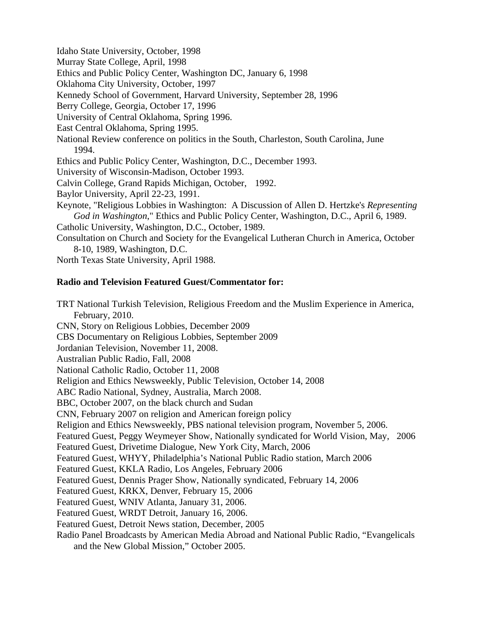Idaho State University, October, 1998

Murray State College, April, 1998

Ethics and Public Policy Center, Washington DC, January 6, 1998

Oklahoma City University, October, 1997

Kennedy School of Government, Harvard University, September 28, 1996

Berry College, Georgia, October 17, 1996

University of Central Oklahoma, Spring 1996.

East Central Oklahoma, Spring 1995.

National Review conference on politics in the South, Charleston, South Carolina, June 1994.

Ethics and Public Policy Center, Washington, D.C., December 1993.

University of Wisconsin-Madison, October 1993.

Calvin College, Grand Rapids Michigan, October, 1992.

Baylor University, April 22-23, 1991.

 Keynote, "Religious Lobbies in Washington: A Discussion of Allen D. Hertzke's *Representing God in Washington*," Ethics and Public Policy Center, Washington, D.C., April 6, 1989. Catholic University, Washington, D.C., October, 1989.

 Consultation on Church and Society for the Evangelical Lutheran Church in America, October 8-10, 1989, Washington, D.C.

North Texas State University, April 1988.

## **Radio and Television Featured Guest/Commentator for:**

TRT National Turkish Television, Religious Freedom and the Muslim Experience in America, February, 2010. CNN, Story on Religious Lobbies, December 2009 CBS Documentary on Religious Lobbies, September 2009 Jordanian Television, November 11, 2008. Australian Public Radio, Fall, 2008 National Catholic Radio, October 11, 2008 Religion and Ethics Newsweekly, Public Television, October 14, 2008 ABC Radio National, Sydney, Australia, March 2008. BBC, October 2007, on the black church and Sudan CNN, February 2007 on religion and American foreign policy Religion and Ethics Newsweekly, PBS national television program, November 5, 2006. Featured Guest, Peggy Weymeyer Show, Nationally syndicated for World Vision, May, 2006 Featured Guest, Drivetime Dialogue, New York City, March, 2006 Featured Guest, WHYY, Philadelphia's National Public Radio station, March 2006 Featured Guest, KKLA Radio, Los Angeles, February 2006 Featured Guest, Dennis Prager Show, Nationally syndicated, February 14, 2006 Featured Guest, KRKX, Denver, February 15, 2006 Featured Guest, WNIV Atlanta, January 31, 2006. Featured Guest, WRDT Detroit, January 16, 2006. Featured Guest, Detroit News station, December, 2005 Radio Panel Broadcasts by American Media Abroad and National Public Radio, "Evangelicals and the New Global Mission," October 2005.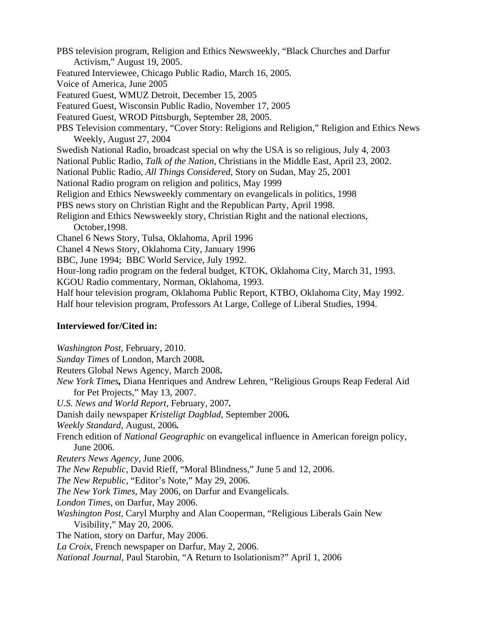PBS television program, Religion and Ethics Newsweekly, "Black Churches and Darfur Activism," August 19, 2005.

- Featured Interviewee, Chicago Public Radio, March 16, 2005.
- Voice of America, June 2005

Featured Guest, WMUZ Detroit, December 15, 2005

Featured Guest, Wisconsin Public Radio, November 17, 2005

Featured Guest, WROD Pittsburgh, September 28, 2005.

- PBS Television commentary, "Cover Story: Religions and Religion," Religion and Ethics News Weekly, August 27, 2004
- Swedish National Radio, broadcast special on why the USA is so religious, July 4, 2003

National Public Radio, *Talk of the Nation*, Christians in the Middle East, April 23, 2002.

National Public Radio, *All Things Considered*, Story on Sudan, May 25, 2001

National Radio program on religion and politics, May 1999

Religion and Ethics Newsweekly commentary on evangelicals in politics, 1998

PBS news story on Christian Right and the Republican Party, April 1998.

Religion and Ethics Newsweekly story, Christian Right and the national elections, October,1998.

Chanel 6 News Story, Tulsa, Oklahoma, April 1996

Chanel 4 News Story, Oklahoma City, January 1996

BBC, June 1994; BBC World Service, July 1992.

Hour-long radio program on the federal budget, KTOK, Oklahoma City, March 31, 1993.

KGOU Radio commentary, Norman, Oklahoma, 1993.

Half hour television program, Oklahoma Public Report, KTBO, Oklahoma City, May 1992.

Half hour television program, Professors At Large, College of Liberal Studies, 1994.

### **Interviewed for/Cited in:**

*Washington Post,* February, 2010.

*Sunday Times* of London, March 2008**.** 

Reuters Global News Agency, March 2008**.** 

 *New York Times,* Diana Henriques and Andrew Lehren, "Religious Groups Reap Federal Aid for Pet Projects," May 13, 2007.

*U.S. News and World Report*, February, 2007*.* 

Danish daily newspaper *Kristeligt Dagblad*, September 2006*.* 

*Weekly Standard*, August, 2006*.* 

 French edition of *National Geographic* on evangelical influence in American foreign policy, June 2006.

*Reuters News Agency,* June 2006.

*The New Republic,* David Rieff, "Moral Blindness," June 5 and 12, 2006.

*The New Republic,* "Editor's Note," May 29, 2006.

*The New York Times,* May 2006, on Darfur and Evangelicals.

*London Times*, on Darfur, May 2006.

 *Washington Post,* Caryl Murphy and Alan Cooperman*,* "Religious Liberals Gain New Visibility," May 20, 2006.

The Nation, story on Darfur, May 2006.

*La Croix*, French newspaper on Darfur, May 2, 2006.

*National Journal,* Paul Starobin, "A Return to Isolationism?" April 1, 2006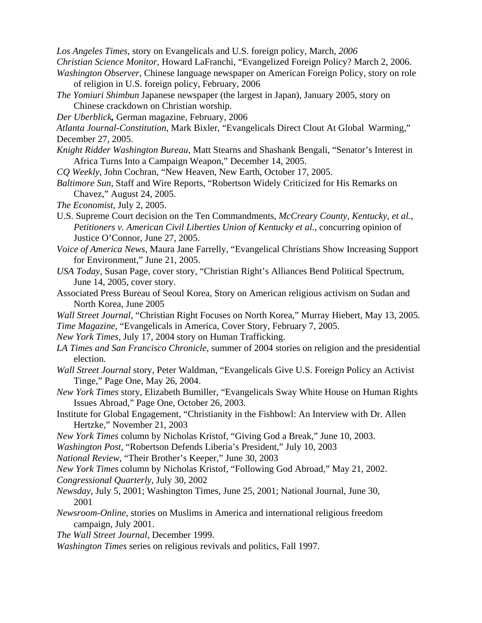*Los Angeles Times,* story on Evangelicals and U.S. foreign policy, March*, 2006* 

- *Christian Science Monitor,* Howard LaFranchi, "Evangelized Foreign Policy? March 2, 2006.
- *Washington Observer*, Chinese language newspaper on American Foreign Policy, story on role of religion in U.S. foreign policy, February, 2006
- *The Yomiuri Shimbun* Japanese newspaper (the largest in Japan), January 2005, story on Chinese crackdown on Christian worship.
- *Der Uberblick,* German magazine, February, 2006
- *Atlanta Journal-Constitution,* Mark Bixler, "Evangelicals Direct Clout At Global Warming," December 27, 2005.
- *Knight Ridder Washington Bureau*, Matt Stearns and Shashank Bengali, "Senator's Interest in Africa Turns Into a Campaign Weapon," December 14, 2005.
- *CQ Weekly,* John Cochran, "New Heaven, New Earth, October 17, 2005.
- *Baltimore Sun*, Staff and Wire Reports, "Robertson Widely Criticized for His Remarks on Chavez," August 24, 2005.
- *The Economist,* July 2, 2005.
- U.S. Supreme Court decision on the Ten Commandments, *McCreary County, Kentucky, et al., Petitioners v. American Civil Liberties Union of Kentucky et al.*, concurring opinion of Justice O'Connor, June 27, 2005.
- *Voice of America News,* Maura Jane Farrelly, "Evangelical Christians Show Increasing Support for Environment," June 21, 2005.
- *USA Today,* Susan Page, cover story, "Christian Right's Alliances Bend Political Spectrum, June 14, 2005, cover story.
- Associated Press Bureau of Seoul Korea, Story on American religious activism on Sudan and North Korea, June 2005
- *Wall Street Journal*, "Christian Right Focuses on North Korea," Murray Hiebert, May 13, 2005*. Time Magazine,* "Evangelicals in America, Cover Story, February 7, 2005.
- *New York Times*, July 17, 2004 story on Human Trafficking.
- *LA Times and San Francisco Chronicle*, summer of 2004 stories on religion and the presidential election.
- *Wall Street Journal* story, Peter Waldman, "Evangelicals Give U.S. Foreign Policy an Activist Tinge," Page One, May 26, 2004.
- *New York Times* story, Elizabeth Bumiller, "Evangelicals Sway White House on Human Rights Issues Abroad," Page One, October 26, 2003.
- Institute for Global Engagement, "Christianity in the Fishbowl: An Interview with Dr. Allen Hertzke," November 21, 2003
- *New York Times* column by Nicholas Kristof, "Giving God a Break," June 10, 2003.
- *Washington Post*, "Robertson Defends Liberia's President," July 10, 2003
- *National Review*, "Their Brother's Keeper," June 30, 2003
- *New York Times* column by Nicholas Kristof, "Following God Abroad," May 21, 2002.
- *Congressional Quarterly*, July 30, 2002
- *Newsday*, July 5, 2001; Washington Times, June 25, 2001; National Journal, June 30, 2001
- *Newsroom-Online*, stories on Muslims in America and international religious freedom campaign, July 2001.
- *The Wall Street Journal*, December 1999.
- *Washington Times* series on religious revivals and politics, Fall 1997.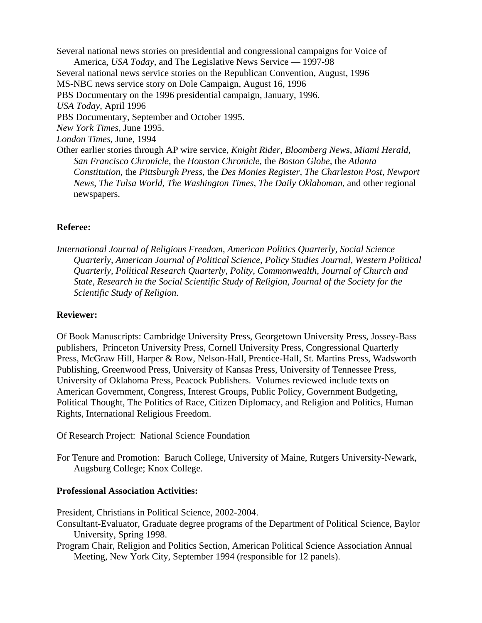Several national news stories on presidential and congressional campaigns for Voice of America, *USA Today*, and The Legislative News Service — 1997-98 Several national news service stories on the Republican Convention, August, 1996 MS-NBC news service story on Dole Campaign, August 16, 1996 PBS Documentary on the 1996 presidential campaign, January, 1996. *USA Today*, April 1996 PBS Documentary, September and October 1995. *New York Times*, June 1995.  *London Times*, June, 1994 Other earlier stories through AP wire service, *Knight Rider*, *Bloomberg News*, *Miami Herald, San Francisco Chronicle*, the *Houston Chronicle*, the *Boston Globe,* the *Atlanta Constitution*, the *Pittsburgh Press*, the *Des Monies Register, The Charleston Post, Newport News, The Tulsa World*, *The Washington Times*, *The Daily Oklahoman*, and other regional newspapers.

#### **Referee:**

 *International Journal of Religious Freedom, American Politics Quarterly, Social Science Quarterly, American Journal of Political Science, Policy Studies Journal, Western Political Quarterly, Political Research Quarterly, Polity, Commonwealth, Journal of Church and State, Research in the Social Scientific Study of Religion, Journal of the Society for the Scientific Study of Religion.*

#### **Reviewer:**

Of Book Manuscripts: Cambridge University Press, Georgetown University Press, Jossey-Bass publishers, Princeton University Press, Cornell University Press, Congressional Quarterly Press, McGraw Hill, Harper & Row, Nelson-Hall, Prentice-Hall, St. Martins Press, Wadsworth Publishing, Greenwood Press, University of Kansas Press, University of Tennessee Press, University of Oklahoma Press, Peacock Publishers. Volumes reviewed include texts on American Government, Congress, Interest Groups, Public Policy, Government Budgeting, Political Thought, The Politics of Race, Citizen Diplomacy, and Religion and Politics, Human Rights, International Religious Freedom.

- Of Research Project: National Science Foundation
- For Tenure and Promotion: Baruch College, University of Maine, Rutgers University-Newark, Augsburg College; Knox College.

#### **Professional Association Activities:**

President, Christians in Political Science, 2002-2004.

- Consultant-Evaluator, Graduate degree programs of the Department of Political Science, Baylor University, Spring 1998.
- Program Chair, Religion and Politics Section, American Political Science Association Annual Meeting, New York City, September 1994 (responsible for 12 panels).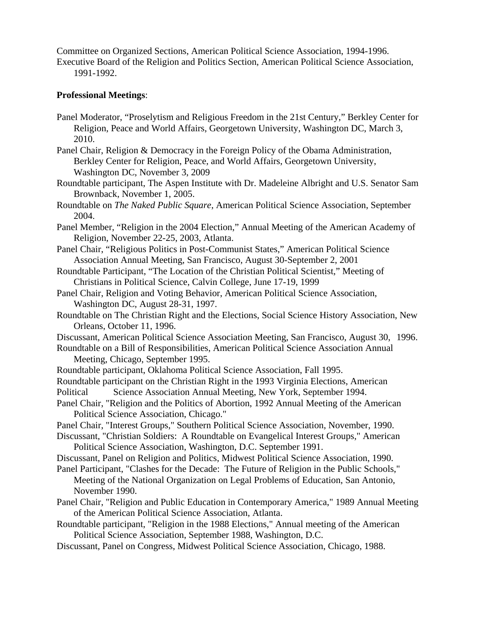Committee on Organized Sections, American Political Science Association, 1994-1996. Executive Board of the Religion and Politics Section, American Political Science Association,

1991-1992.

## **Professional Meetings**:

- Panel Moderator, "Proselytism and Religious Freedom in the 21st Century," Berkley Center for Religion, Peace and World Affairs, Georgetown University, Washington DC, March 3, 2010.
- Panel Chair, Religion & Democracy in the Foreign Policy of the Obama Administration, Berkley Center for Religion, Peace, and World Affairs, Georgetown University, Washington DC, November 3, 2009
- Roundtable participant, The Aspen Institute with Dr. Madeleine Albright and U.S. Senator Sam Brownback, November 1, 2005.
- Roundtable on *The Naked Public Square*, American Political Science Association, September 2004.
- Panel Member, "Religion in the 2004 Election," Annual Meeting of the American Academy of Religion, November 22-25, 2003, Atlanta.
- Panel Chair, "Religious Politics in Post-Communist States," American Political Science Association Annual Meeting, San Francisco, August 30-September 2, 2001
- Roundtable Participant, "The Location of the Christian Political Scientist," Meeting of Christians in Political Science, Calvin College, June 17-19, 1999
- Panel Chair, Religion and Voting Behavior, American Political Science Association, Washington DC, August 28-31, 1997.
- Roundtable on The Christian Right and the Elections, Social Science History Association, New Orleans, October 11, 1996.
- Discussant, American Political Science Association Meeting, San Francisco, August 30, 1996.
- Roundtable on a Bill of Responsibilities, American Political Science Association Annual Meeting, Chicago, September 1995.
- Roundtable participant, Oklahoma Political Science Association, Fall 1995.
- Roundtable participant on the Christian Right in the 1993 Virginia Elections, American
- Political Science Association Annual Meeting, New York, September 1994.
- Panel Chair, "Religion and the Politics of Abortion, 1992 Annual Meeting of the American Political Science Association, Chicago."
- Panel Chair, "Interest Groups," Southern Political Science Association, November, 1990.
- Discussant, "Christian Soldiers: A Roundtable on Evangelical Interest Groups," American Political Science Association, Washington, D.C. September 1991.
- Discussant, Panel on Religion and Politics, Midwest Political Science Association, 1990.
- Panel Participant, "Clashes for the Decade: The Future of Religion in the Public Schools," Meeting of the National Organization on Legal Problems of Education, San Antonio, November 1990.
- Panel Chair, "Religion and Public Education in Contemporary America," 1989 Annual Meeting of the American Political Science Association, Atlanta.
- Roundtable participant, "Religion in the 1988 Elections," Annual meeting of the American Political Science Association, September 1988, Washington, D.C.
- Discussant, Panel on Congress, Midwest Political Science Association, Chicago, 1988.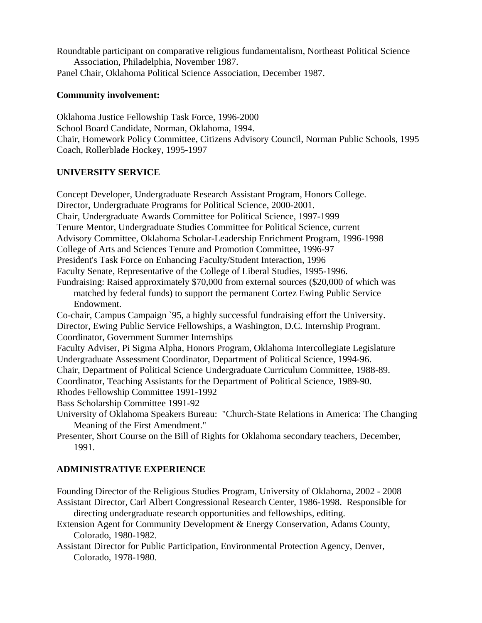Roundtable participant on comparative religious fundamentalism, Northeast Political Science Association, Philadelphia, November 1987. Panel Chair, Oklahoma Political Science Association, December 1987.

### **Community involvement:**

Oklahoma Justice Fellowship Task Force, 1996-2000 School Board Candidate, Norman, Oklahoma, 1994. Chair, Homework Policy Committee, Citizens Advisory Council, Norman Public Schools, 1995 Coach, Rollerblade Hockey, 1995-1997

#### **UNIVERSITY SERVICE**

Concept Developer, Undergraduate Research Assistant Program, Honors College. Director, Undergraduate Programs for Political Science, 2000-2001. Chair, Undergraduate Awards Committee for Political Science, 1997-1999 Tenure Mentor, Undergraduate Studies Committee for Political Science, current Advisory Committee, Oklahoma Scholar-Leadership Enrichment Program, 1996-1998 College of Arts and Sciences Tenure and Promotion Committee, 1996-97 President's Task Force on Enhancing Faculty/Student Interaction, 1996 Faculty Senate, Representative of the College of Liberal Studies, 1995-1996. Fundraising: Raised approximately \$70,000 from external sources (\$20,000 of which was matched by federal funds) to support the permanent Cortez Ewing Public Service Endowment. Co-chair, Campus Campaign `95, a highly successful fundraising effort the University. Director, Ewing Public Service Fellowships, a Washington, D.C. Internship Program. Coordinator, Government Summer Internships Faculty Adviser, Pi Sigma Alpha, Honors Program, Oklahoma Intercollegiate Legislature Undergraduate Assessment Coordinator, Department of Political Science, 1994-96. Chair, Department of Political Science Undergraduate Curriculum Committee, 1988-89. Coordinator, Teaching Assistants for the Department of Political Science, 1989-90. Rhodes Fellowship Committee 1991-1992 Bass Scholarship Committee 1991-92 University of Oklahoma Speakers Bureau: "Church-State Relations in America: The Changing Meaning of the First Amendment." Presenter, Short Course on the Bill of Rights for Oklahoma secondary teachers, December,

1991.

### **ADMINISTRATIVE EXPERIENCE**

Founding Director of the Religious Studies Program, University of Oklahoma, 2002 - 2008 Assistant Director, Carl Albert Congressional Research Center, 1986-1998. Responsible for directing undergraduate research opportunities and fellowships, editing.

- Extension Agent for Community Development & Energy Conservation, Adams County, Colorado, 1980-1982.
- Assistant Director for Public Participation, Environmental Protection Agency, Denver, Colorado, 1978-1980.